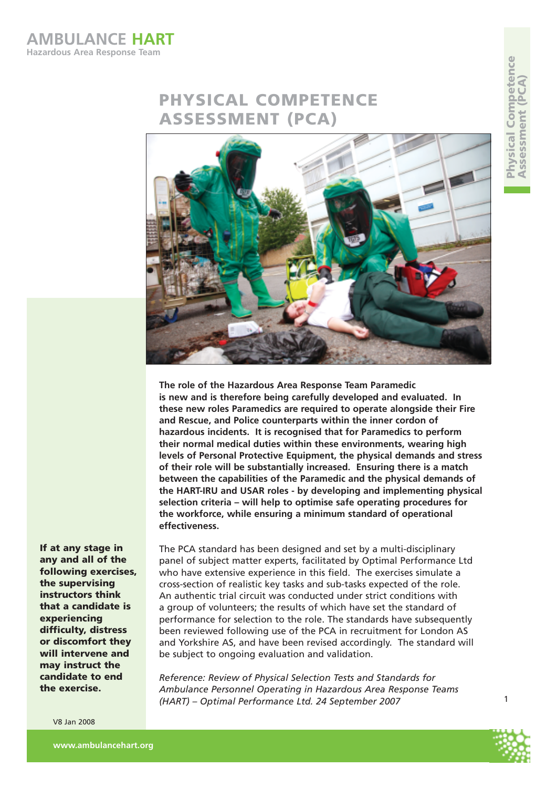**AMBULANCE HART Hazardous Area Response Team**

# **PHYSICAL COMPETENCE ASSESSMENT (PCA)**



**The role of the Hazardous Area Response Team Paramedic is new and is therefore being carefully developed and evaluated. In these new roles Paramedics are required to operate alongside their Fire and Rescue, and Police counterparts within the inner cordon of hazardous incidents. It is recognised that for Paramedics to perform their normal medical duties within these environments, wearing high levels of Personal Protective Equipment, the physical demands and stress of their role will be substantially increased. Ensuring there is a match between the capabilities of the Paramedic and the physical demands of the HART-IRU and USAR roles - by developing and implementing physical selection criteria – will help to optimise safe operating procedures for the workforce, while ensuring a minimum standard of operational effectiveness.** 

**If at any stage in any and all of the following exercises, the supervising instructors think that a candidate is experiencing difficulty, distress or discomfort they will intervene and may instruct the candidate to end the exercise.**

V8 Jan 2008

The PCA standard has been designed and set by a multi-disciplinary panel of subject matter experts, facilitated by Optimal Performance Ltd who have extensive experience in this field. The exercises simulate a cross-section of realistic key tasks and sub-tasks expected of the role. An authentic trial circuit was conducted under strict conditions with a group of volunteers; the results of which have set the standard of performance for selection to the role. The standards have subsequently been reviewed following use of the PCA in recruitment for London AS and Yorkshire AS, and have been revised accordingly. The standard will be subject to ongoing evaluation and validation.

*Reference: Review of Physical Selection Tests and Standards for Ambulance Personnel Operating in Hazardous Area Response Teams (HART) – Optimal Performance Ltd. 24 September 2007* 



 $\overline{1}$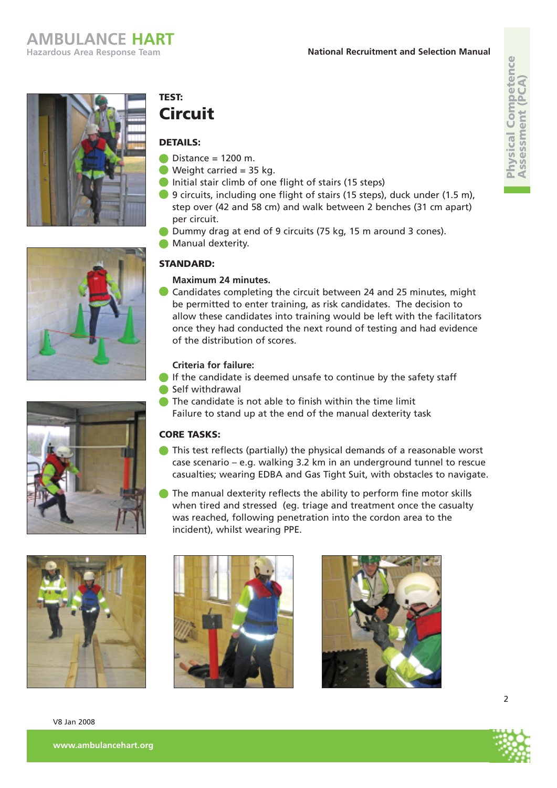







# **TEST: Circuit**

#### **DETAILS:**

- $Distance = 1200$  m.
- Weight carried  $= 35$  kg.
- Initial stair climb of one flight of stairs (15 steps)
- 9 circuits, including one flight of stairs (15 steps), duck under (1.5 m), step over (42 and 58 cm) and walk between 2 benches (31 cm apart) per circuit.
- Dummy drag at end of 9 circuits (75 kg, 15 m around 3 cones).
- **Manual dexterity.**

### **STANDARD:**

#### **Maximum 24 minutes.**

Candidates completing the circuit between 24 and 25 minutes, might be permitted to enter training, as risk candidates. The decision to allow these candidates into training would be left with the facilitators once they had conducted the next round of testing and had evidence of the distribution of scores.

#### **Criteria for failure:**

- If the candidate is deemed unsafe to continue by the safety staff
- Self withdrawal
- The candidate is not able to finish within the time limit Failure to stand up at the end of the manual dexterity task

#### **CORE TASKS:**

- This test reflects (partially) the physical demands of a reasonable worst case scenario – e.g. walking 3.2 km in an underground tunnel to rescue casualties; wearing EDBA and Gas Tight Suit, with obstacles to navigate.
- The manual dexterity reflects the ability to perform fine motor skills when tired and stressed (eg. triage and treatment once the casualty was reached, following penetration into the cordon area to the incident), whilst wearing PPE.











 $\overline{\phantom{a}}$